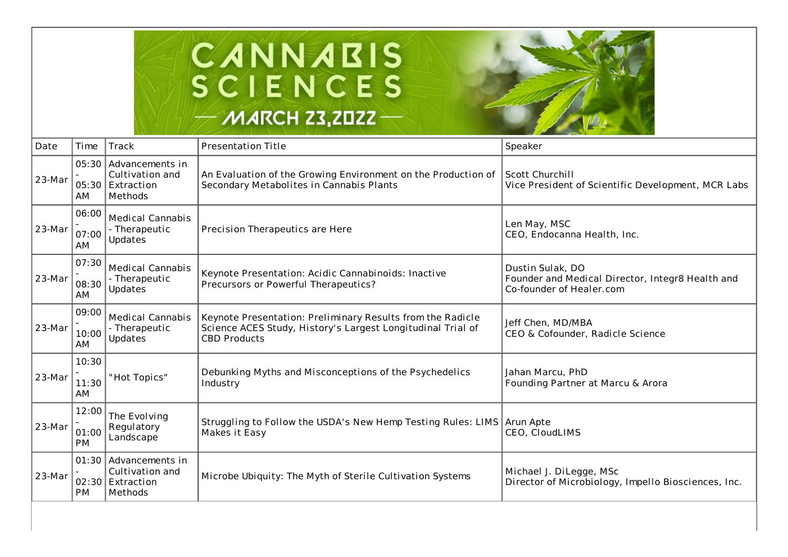



| Date   | Time                  | Track                                                                   | <b>Presentation Title</b>                                                                                                                        | Speaker                                                                                          |
|--------|-----------------------|-------------------------------------------------------------------------|--------------------------------------------------------------------------------------------------------------------------------------------------|--------------------------------------------------------------------------------------------------|
| 23-Mar | AM                    | 05:30 Advancements in<br>Cultivation and<br>05:30 Extraction<br>Methods | An Evaluation of the Growing Environment on the Production of<br>Secondary Metabolites in Cannabis Plants                                        | Scott Churchill<br>Vice President of Scientific Development, MCR Labs                            |
| 23-Mar | 06:00<br>07:00<br>AM. | <b>Medical Cannabis</b><br>- Therapeutic<br>Updates                     | Precision Therapeutics are Here                                                                                                                  | Len May, MSC<br>CEO, Endocanna Health, Inc.                                                      |
| 23-Mar | 07:30<br>08:30<br>AM  | <b>Medical Cannabis</b><br>- Therapeutic<br>Updates                     | Keynote Presentation: Acidic Cannabinoids: Inactive<br>Precursors or Powerful Therapeutics?                                                      | Dustin Sulak, DO<br>Founder and Medical Director, Integr8 Health and<br>Co-founder of Healer.com |
| 23-Mar | 09:00<br>10:00<br>AM. | Medical Cannabis<br>- Therapeutic<br>Updates                            | Keynote Presentation: Preliminary Results from the Radicle<br>Science ACES Study, History's Largest Longitudinal Trial of<br><b>CBD Products</b> | Jeff Chen, MD/MBA<br>CEO & Cofounder, Radicle Science                                            |
| 23-Mar | 10:30<br>11:30<br>AM  | "Hot Topics"                                                            | Debunking Myths and Misconceptions of the Psychedelics<br>Industry                                                                               | Jahan Marcu, PhD<br>Founding Partner at Marcu & Arora                                            |
| 23-Mar | 12:00<br>01:00<br>PM  | The Evolving<br>Regulatory<br>Landscape                                 | Struggling to Follow the USDA's New Hemp Testing Rules: LIMS Arun Apte<br>Makes it Easy                                                          | CEO, CloudLIMS                                                                                   |
| 23-Mar | <b>PM</b>             | 01:30 Advancements in<br>Cultivation and<br>02:30 Extraction<br>Methods | Microbe Ubiquity: The Myth of Sterile Cultivation Systems                                                                                        | Michael J. DiLegge, MSc<br>Director of Microbiology, Impello Biosciences, Inc.                   |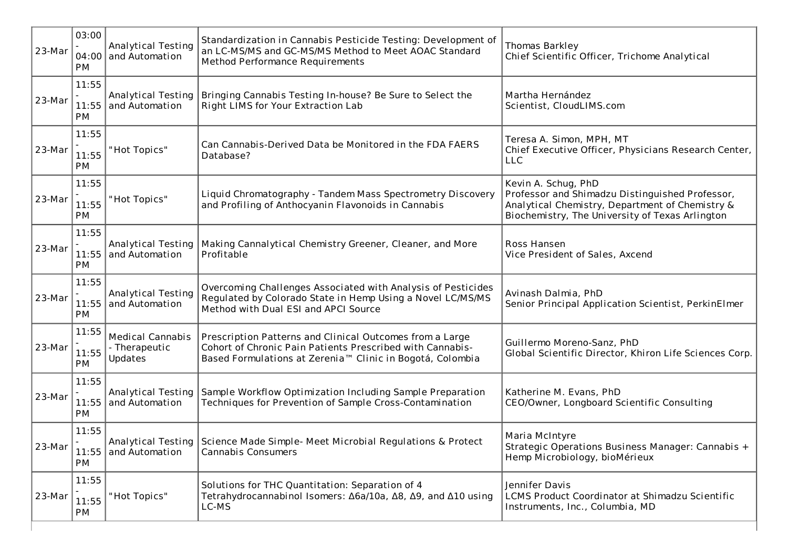| 23-Mar | 03:00<br><b>PM</b>   | Analytical Testing<br>04:00 and Automation                 | Standardization in Cannabis Pesticide Testing: Development of<br>an LC-MS/MS and GC-MS/MS Method to Meet AOAC Standard<br>Method Performance Requirements                                      | Thomas Barkley<br>Chief Scientific Officer, Trichome Analytical                                                                                                              |
|--------|----------------------|------------------------------------------------------------|------------------------------------------------------------------------------------------------------------------------------------------------------------------------------------------------|------------------------------------------------------------------------------------------------------------------------------------------------------------------------------|
| 23-Mar | 11:55<br><b>PM</b>   | Analytical Testing<br>11:55 and Automation                 | Bringing Cannabis Testing In-house? Be Sure to Select the<br>Right LIMS for Your Extraction Lab                                                                                                | Martha Hernández<br>Scientist, CloudLIMS.com                                                                                                                                 |
| 23-Mar | 11:55<br>11:55<br>PM | "Hot Topics"                                               | Can Cannabis-Derived Data be Monitored in the FDA FAERS<br>Database?                                                                                                                           | Teresa A. Simon, MPH, MT<br>Chief Executive Officer, Physicians Research Center,<br><b>LLC</b>                                                                               |
| 23-Mar | 11:55<br>11:55<br>PM | "Hot Topics"                                               | Liquid Chromatography - Tandem Mass Spectrometry Discovery<br>and Profiling of Anthocyanin Flavonoids in Cannabis                                                                              | Kevin A. Schug, PhD<br>Professor and Shimadzu Distinguished Professor,<br>Analytical Chemistry, Department of Chemistry &<br>Biochemistry, The University of Texas Arlington |
| 23-Mar | 11:55<br>PM          | <b>Analytical Testing</b><br>11:55 and Automation          | Making Cannalytical Chemistry Greener, Cleaner, and More<br>Profitable                                                                                                                         | Ross Hansen<br>Vice President of Sales, Axcend                                                                                                                               |
| 23-Mar | 11:55<br>11:55<br>PM | Analytical Testing<br>and Automation                       | Overcoming Challenges Associated with Analysis of Pesticides<br>Regulated by Colorado State in Hemp Using a Novel LC/MS/MS<br>Method with Dual ESI and APCI Source                             | Avinash Dalmia, PhD<br>Senior Principal Application Scientist, PerkinElmer                                                                                                   |
| 23-Mar | 11:55<br>11:55<br>PM | <b>Medical Cannabis</b><br>- Therapeutic<br><b>Updates</b> | Prescription Patterns and Clinical Outcomes from a Large<br>Cohort of Chronic Pain Patients Prescribed with Cannabis-<br>Based Formulations at Zerenia <sup>™</sup> Clinic in Bogotá, Colombia | Guillermo Moreno-Sanz, PhD<br>Global Scientific Director, Khiron Life Sciences Corp.                                                                                         |
| 23-Mar | 11:55<br><b>PM</b>   | Analytical Testing<br>11:55 and Automation                 | Sample Workflow Optimization Including Sample Preparation<br>Techniques for Prevention of Sample Cross-Contamination                                                                           | Katherine M. Evans, PhD<br>CEO/Owner, Longboard Scientific Consulting                                                                                                        |
| 23-Mar | 11:55<br><b>PM</b>   | 11:55 and Automation                                       | Analytical Testing Science Made Simple- Meet Microbial Regulations & Protect<br><b>Cannabis Consumers</b>                                                                                      | Maria McIntyre<br>Strategic Operations Business Manager: Cannabis +<br>Hemp Microbiology, bioMérieux                                                                         |
| 23-Mar | 11:55<br>11:55<br>PM | "Hot Topics"                                               | Solutions for THC Quantitation: Separation of 4<br>Tetrahydrocannabinol Isomers: Δ6a/10a, Δ8, Δ9, and Δ10 using<br>LC-MS                                                                       | Jennifer Davis<br>LCMS Product Coordinator at Shimadzu Scientific<br>Instruments, Inc., Columbia, MD                                                                         |